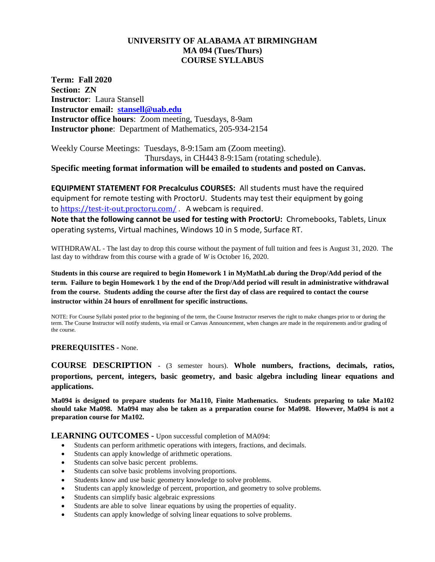# **UNIVERSITY OF ALABAMA AT BIRMINGHAM MA 094 (Tues/Thurs) COURSE SYLLABUS**

**Term: Fall 2020 Section: ZN Instructor**: Laura Stansell **Instructor email: [stansell@uab.edu](mailto:stansell@uab.edu) Instructor office hours**: Zoom meeting, Tuesdays, 8-9am **Instructor phone**: Department of Mathematics, 205-934-2154

Weekly Course Meetings: Tuesdays, 8-9:15am am (Zoom meeting). Thursdays, in CH443 8-9:15am (rotating schedule).

**Specific meeting format information will be emailed to students and posted on Canvas.**

**EQUIPMENT STATEMENT FOR Precalculus COURSES:** All students must have the required equipment for remote testing with ProctorU. Students may test their equipment by going to <https://test-it-out.proctoru.com/>. A webcam is required.

**Note that the following cannot be used for testing with ProctorU:** Chromebooks, Tablets, Linux operating systems, Virtual machines, Windows 10 in S mode, Surface RT.

WITHDRAWAL - The last day to drop this course without the payment of full tuition and fees is August 31, 2020. The last day to withdraw from this course with a grade of *W* is October 16, 2020.

**Students in this course are required to begin Homework 1 in MyMathLab during the Drop/Add period of the term. Failure to begin Homework 1 by the end of the Drop/Add period will result in administrative withdrawal from the course. Students adding the course after the first day of class are required to contact the course instructor within 24 hours of enrollment for specific instructions.**

NOTE: For Course Syllabi posted prior to the beginning of the term, the Course Instructor reserves the right to make changes prior to or during the term. The Course Instructor will notify students, via email or Canvas Announcement, when changes are made in the requirements and/or grading of the course.

**PREREQUISITES -** None.

**COURSE DESCRIPTION -** (3 semester hours). **Whole numbers, fractions, decimals, ratios, proportions, percent, integers, basic geometry, and basic algebra including linear equations and applications.** 

**Ma094 is designed to prepare students for Ma110, Finite Mathematics. Students preparing to take Ma102 should take Ma098. Ma094 may also be taken as a preparation course for Ma098. However, Ma094 is not a preparation course for Ma102.**

**LEARNING OUTCOMES -** Upon successful completion of MA094:

- Students can perform arithmetic operations with integers, fractions, and decimals.
- Students can apply knowledge of arithmetic operations.
- Students can solve basic percent problems.
- Students can solve basic problems involving proportions.
- Students know and use basic geometry knowledge to solve problems.
- Students can apply knowledge of percent, proportion, and geometry to solve problems.
- Students can simplify basic algebraic expressions
- Students are able to solve linear equations by using the properties of equality.
- Students can apply knowledge of solving linear equations to solve problems.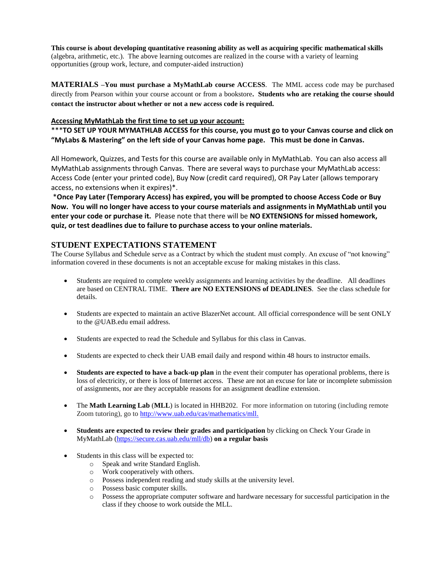**This course is about developing quantitative reasoning ability as well as acquiring specific mathematical skills** (algebra, arithmetic, etc.). The above learning outcomes are realized in the course with a variety of learning opportunities (group work, lecture, and computer-aided instruction)

**MATERIALS –You must purchase a MyMathLab course ACCESS**. The MML access code may be purchased directly from Pearson within your course account or from a bookstore**. Students who are retaking the course should contact the instructor about whether or not a new access code is required.** 

### **Accessing MyMathLab the first time to set up your account:**

\*\*\***TO SET UP YOUR MYMATHLAB ACCESS for this course, you must go to your Canvas course and click on "MyLabs & Mastering" on the left side of your Canvas home page. This must be done in Canvas.** 

All Homework, Quizzes, and Tests for this course are available only in MyMathLab. You can also access all MyMathLab assignments through Canvas. There are several ways to purchase your MyMathLab access: Access Code (enter your printed code), Buy Now (credit card required), OR Pay Later (allows temporary access, no extensions when it expires)\*.

\***Once Pay Later (Temporary Access) has expired, you will be prompted to choose Access Code or Buy Now. You will no longer have access to your course materials and assignments in MyMathLab until you enter your code or purchase it.** Please note that there will be **NO EXTENSIONS for missed homework, quiz, or test deadlines due to failure to purchase access to your online materials.**

## **STUDENT EXPECTATIONS STATEMENT**

The Course Syllabus and Schedule serve as a Contract by which the student must comply. An excuse of "not knowing" information covered in these documents is not an acceptable excuse for making mistakes in this class.

- Students are required to complete weekly assignments and learning activities by the deadline. All deadlines are based on CENTRAL TIME. **There are NO EXTENSIONS of DEADLINES**. See the class schedule for details.
- Students are expected to maintain an active BlazerNet account. All official correspondence will be sent ONLY to the @UAB.edu email address.
- Students are expected to read the Schedule and Syllabus for this class in Canvas.
- Students are expected to check their UAB email daily and respond within 48 hours to instructor emails.
- **Students are expected to have a back-up plan** in the event their computer has operational problems, there is loss of electricity, or there is loss of Internet access. These are not an excuse for late or incomplete submission of assignments, nor are they acceptable reasons for an assignment deadline extension.
- The **Math Learning Lab** (MLL) is located in HHB202. For more information on tutoring (including remote Zoom tutoring), go to [http://www.uab.edu/cas/mathematics/mll.](http://www.uab.edu/cas/mathematics/mll)
- **Students are expected to review their grades and participation** by clicking on Check Your Grade in MyMathLab [\(https://secure.cas.uab.edu/mll/db\)](https://secure.cas.uab.edu/mll/db) **on a regular basis**
- Students in this class will be expected to:
	- o Speak and write Standard English.
	- o Work cooperatively with others.
	- o Possess independent reading and study skills at the university level.
	- o Possess basic computer skills.
	- o Possess the appropriate computer software and hardware necessary for successful participation in the class if they choose to work outside the MLL.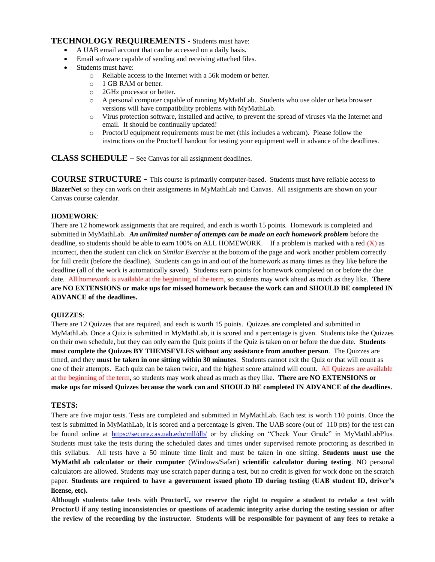## **TECHNOLOGY REQUIREMENTS -** Students must have:

- A UAB email account that can be accessed on a daily basis.
- Email software capable of sending and receiving attached files.
- Students must have:
	- o Reliable access to the Internet with a 56k modem or better.
	- o 1 GB RAM or better.
	- o 2GHz processor or better.
	- o A personal computer capable of running MyMathLab. Students who use older or beta browser versions will have compatibility problems with MyMathLab.
	- o Virus protection software, installed and active, to prevent the spread of viruses via the Internet and email. It should be continually updated!
	- o ProctorU equipment requirements must be met (this includes a webcam). Please follow the instructions on the ProctorU handout for testing your equipment well in advance of the deadlines.

**CLASS SCHEDULE** – See Canvas for all assignment deadlines.

**COURSE STRUCTURE -** This course is primarily computer-based. Students must have reliable access to **BlazerNet** so they can work on their assignments in MyMathLab and Canvas. All assignments are shown on your Canvas course calendar.

### **HOMEWORK**:

There are 12 homework assignments that are required, and each is worth 15 points. Homework is completed and submitted in MyMathLab. *An unlimited number of attempts can be made on each homework problem* before the deadline, so students should be able to earn 100% on ALL HOMEWORK. If a problem is marked with a red  $(X)$  as incorrect, then the student can click on *Similar Exercise* at the bottom of the page and work another problem correctly for full credit (before the deadline). Students can go in and out of the homework as many times as they like before the deadline (all of the work is automatically saved). Students earn points for homework completed on or before the due date. All homework is available at the beginning of the term, so students may work ahead as much as they like. **There are NO EXTENSIONS or make ups for missed homework because the work can and SHOULD BE completed IN ADVANCE of the deadlines.**

#### **QUIZZES**:

There are 12 Quizzes that are required, and each is worth 15 points. Quizzes are completed and submitted in MyMathLab. Once a Quiz is submitted in MyMathLab, it is scored and a percentage is given. Students take the Quizzes on their own schedule, but they can only earn the Quiz points if the Quiz is taken on or before the due date. **Students must complete the Quizzes BY THEMSEVLES without any assistance from another person**. The Quizzes are timed, and they **must be taken in one sitting within 30 minutes**. Students cannot exit the Quiz or that will count as one of their attempts. Each quiz can be taken twice, and the highest score attained will count. All Quizzes are available at the beginning of the term, so students may work ahead as much as they like. **There are NO EXTENSIONS or make ups for missed Quizzes because the work can and SHOULD BE completed IN ADVANCE of the deadlines.**

### **TESTS:**

There are five major tests. Tests are completed and submitted in MyMathLab. Each test is worth 110 points. Once the test is submitted in MyMathLab, it is scored and a percentage is given. The UAB score (out of 110 pts) for the test can be found online at <https://secure.cas.uab.edu/mll/db/> or by clicking on "Check Your Grade" in MyMathLabPlus. Students must take the tests during the scheduled dates and times under supervised remote proctoring as described in this syllabus. All tests have a 50 minute time limit and must be taken in one sitting. **Students must use the MyMathLab calculator or their computer** (Windows/Safari) **scientific calculator during testing**. NO personal calculators are allowed. Students may use scratch paper during a test, but no credit is given for work done on the scratch paper. **Students are required to have a government issued photo ID during testing (UAB student ID, driver's license, etc).**

**Although students take tests with ProctorU, we reserve the right to require a student to retake a test with ProctorU if any testing inconsistencies or questions of academic integrity arise during the testing session or after the review of the recording by the instructor. Students will be responsible for payment of any fees to retake a**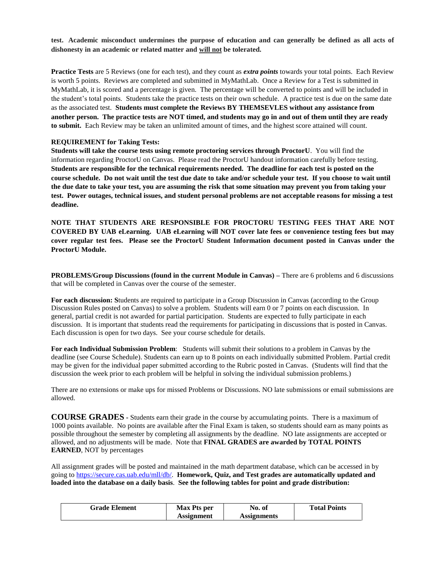**test. Academic misconduct undermines the purpose of education and can generally be defined as all acts of dishonesty in an academic or related matter and will not be tolerated.**

**Practice Tests** are 5 Reviews (one for each test), and they count as *extra points* towards your total points. Each Review is worth 5 points. Reviews are completed and submitted in MyMathLab. Once a Review for a Test is submitted in MyMathLab, it is scored and a percentage is given. The percentage will be converted to points and will be included in the student's total points. Students take the practice tests on their own schedule. A practice test is due on the same date as the associated test. **Students must complete the Reviews BY THEMSEVLES without any assistance from another person. The practice tests are NOT timed, and students may go in and out of them until they are ready to submit.** Each Review may be taken an unlimited amount of times, and the highest score attained will count.

#### **REQUIREMENT for Taking Tests:**

**Students will take the course tests using remote proctoring services through ProctorU**. You will find the information regarding ProctorU on Canvas. Please read the ProctorU handout information carefully before testing. **Students are responsible for the technical requirements needed. The deadline for each test is posted on the course schedule. Do not wait until the test due date to take and/or schedule your test. If you choose to wait until the due date to take your test, you are assuming the risk that some situation may prevent you from taking your test. Power outages, technical issues, and student personal problems are not acceptable reasons for missing a test deadline.**

**NOTE THAT STUDENTS ARE RESPONSIBLE FOR PROCTORU TESTING FEES THAT ARE NOT COVERED BY UAB eLearning. UAB eLearning will NOT cover late fees or convenience testing fees but may cover regular test fees. Please see the ProctorU Student Information document posted in Canvas under the ProctorU Module.**

**PROBLEMS/Group Discussions (found in the current Module in Canvas) –** There are 6 problems and 6 discussions that will be completed in Canvas over the course of the semester.

**For each discussion: S**tudents are required to participate in a Group Discussion in Canvas (according to the Group Discussion Rules posted on Canvas) to solve a problem. Students will earn 0 or 7 points on each discussion. In general, partial credit is not awarded for partial participation. Students are expected to fully participate in each discussion. It is important that students read the requirements for participating in discussions that is posted in Canvas. Each discussion is open for two days. See your course schedule for details.

**For each Individual Submission Problem**: Students will submit their solutions to a problem in Canvas by the deadline (see Course Schedule). Students can earn up to 8 points on each individually submitted Problem. Partial credit may be given for the individual paper submitted according to the Rubric posted in Canvas. (Students will find that the discussion the week prior to each problem will be helpful in solving the individual submission problems.)

There are no extensions or make ups for missed Problems or Discussions. NO late submissions or email submissions are allowed.

**COURSE GRADES -** Students earn their grade in the course by accumulating points. There is a maximum of 1000 points available. No points are available after the Final Exam is taken, so students should earn as many points as possible throughout the semester by completing all assignments by the deadline. NO late assignments are accepted or allowed, and no adjustments will be made. Note that **FINAL GRADES are awarded by TOTAL POINTS EARNED**, NOT by percentages

All assignment grades will be posted and maintained in the math department database, which can be accessed in by going to [https://secure.cas.uab.edu/mll/db/.](https://secure.cas.uab.edu/mll/db/) **Homework, Quiz, and Test grades are automatically updated and loaded into the database on a daily basis**. **See the following tables for point and grade distribution:**

| <b>Grade Element</b> | <b>Max Pts per</b> | No. ot      | <b>Total Points</b> |
|----------------------|--------------------|-------------|---------------------|
|                      | Assignment         | Assignments |                     |